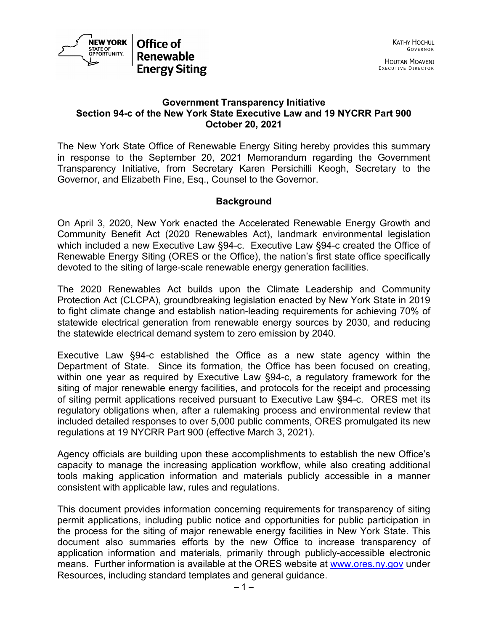

### **Government Transparency Initiative Section 94-c of the New York State Executive Law and 19 NYCRR Part 900 October 20, 2021**

The New York State Office of Renewable Energy Siting hereby provides this summary in response to the September 20, 2021 Memorandum regarding the Government Transparency Initiative, from Secretary Karen Persichilli Keogh, Secretary to the Governor, and Elizabeth Fine, Esq., Counsel to the Governor.

## **Background**

On April 3, 2020, New York enacted the Accelerated Renewable Energy Growth and Community Benefit Act (2020 Renewables Act), landmark environmental legislation which included a new Executive Law §94-c. Executive Law §94-c created the Office of Renewable Energy Siting (ORES or the Office), the nation's first state office specifically devoted to the siting of large-scale renewable energy generation facilities.

The 2020 Renewables Act builds upon the Climate Leadership and Community Protection Act (CLCPA), groundbreaking legislation enacted by New York State in 2019 to fight climate change and establish nation-leading requirements for achieving 70% of statewide electrical generation from renewable energy sources by 2030, and reducing the statewide electrical demand system to zero emission by 2040.

Executive Law §94-c established the Office as a new state agency within the Department of State. Since its formation, the Office has been focused on creating, within one year as required by Executive Law §94-c, a regulatory framework for the siting of major renewable energy facilities, and protocols for the receipt and processing of siting permit applications received pursuant to Executive Law §94-c. ORES met its regulatory obligations when, after a rulemaking process and environmental review that included detailed responses to over 5,000 public comments, ORES promulgated its new regulations at 19 NYCRR Part 900 (effective March 3, 2021).

Agency officials are building upon these accomplishments to establish the new Office's capacity to manage the increasing application workflow, while also creating additional tools making application information and materials publicly accessible in a manner consistent with applicable law, rules and regulations.

This document provides information concerning requirements for transparency of siting permit applications, including public notice and opportunities for public participation in the process for the siting of major renewable energy facilities in New York State. This document also summaries efforts by the new Office to increase transparency of application information and materials, primarily through publicly-accessible electronic means. Further information is available at the ORES website at [www.ores.ny.gov](http://www.ores.ny.gov/) under Resources, including standard templates and general guidance.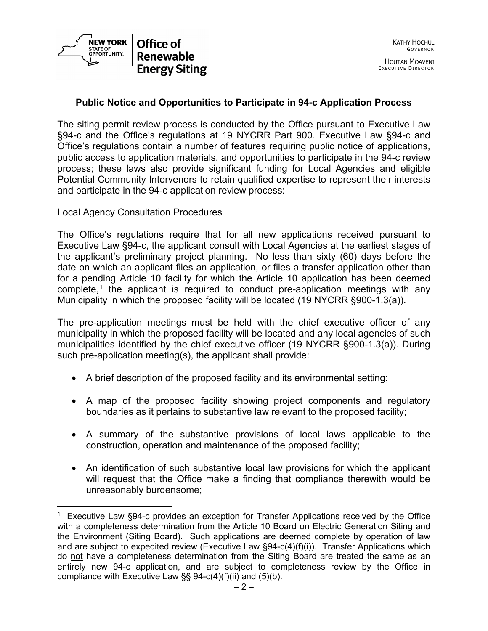

## **Public Notice and Opportunities to Participate in 94-c Application Process**

The siting permit review process is conducted by the Office pursuant to Executive Law §94-c and the Office's regulations at 19 NYCRR Part 900. Executive Law §94-c and Office's regulations contain a number of features requiring public notice of applications, public access to application materials, and opportunities to participate in the 94-c review process; these laws also provide significant funding for Local Agencies and eligible Potential Community Intervenors to retain qualified expertise to represent their interests and participate in the 94-c application review process:

#### Local Agency Consultation Procedures

The Office's regulations require that for all new applications received pursuant to Executive Law §94-c, the applicant consult with Local Agencies at the earliest stages of the applicant's preliminary project planning. No less than sixty (60) days before the date on which an applicant files an application, or files a transfer application other than for a pending Article 10 facility for which the Article 10 application has been deemed complete,<sup>[1](#page-1-0)</sup> the applicant is required to conduct pre-application meetings with any Municipality in which the proposed facility will be located (19 NYCRR §900-1.3(a)).

The pre-application meetings must be held with the chief executive officer of any municipality in which the proposed facility will be located and any local agencies of such municipalities identified by the chief executive officer (19 NYCRR §900-1.3(a)). During such pre-application meeting(s), the applicant shall provide:

- A brief description of the proposed facility and its environmental setting;
- A map of the proposed facility showing project components and regulatory boundaries as it pertains to substantive law relevant to the proposed facility;
- A summary of the substantive provisions of local laws applicable to the construction, operation and maintenance of the proposed facility;
- An identification of such substantive local law provisions for which the applicant will request that the Office make a finding that compliance therewith would be unreasonably burdensome;

<span id="page-1-0"></span><sup>&</sup>lt;sup>1</sup> Executive Law §94-c provides an exception for Transfer Applications received by the Office with a completeness determination from the Article 10 Board on Electric Generation Siting and the Environment (Siting Board). Such applications are deemed complete by operation of law and are subject to expedited review (Executive Law  $\S 94-c(4)(f)(i)$ ). Transfer Applications which do not have a completeness determination from the Siting Board are treated the same as an entirely new 94-c application, and are subject to completeness review by the Office in compliance with Executive Law  $\S$ § 94-c(4)(f)(ii) and (5)(b).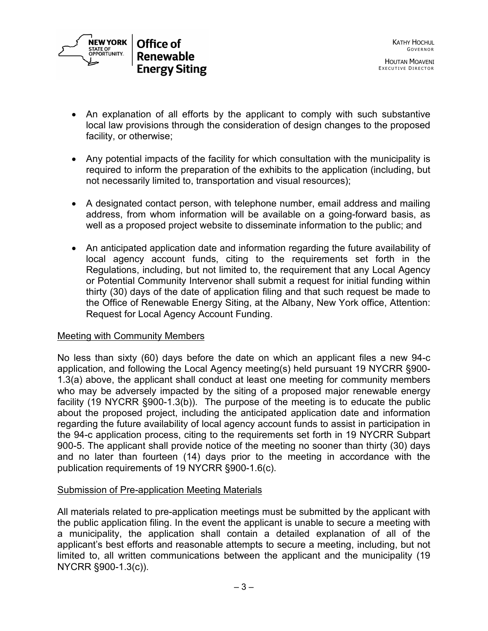

- An explanation of all efforts by the applicant to comply with such substantive local law provisions through the consideration of design changes to the proposed facility, or otherwise;
- Any potential impacts of the facility for which consultation with the municipality is required to inform the preparation of the exhibits to the application (including, but not necessarily limited to, transportation and visual resources);
- A designated contact person, with telephone number, email address and mailing address, from whom information will be available on a going-forward basis, as well as a proposed project website to disseminate information to the public; and
- An anticipated application date and information regarding the future availability of local agency account funds, citing to the requirements set forth in the Regulations, including, but not limited to, the requirement that any Local Agency or Potential Community Intervenor shall submit a request for initial funding within thirty (30) days of the date of application filing and that such request be made to the Office of Renewable Energy Siting, at the Albany, New York office, Attention: Request for Local Agency Account Funding.

### Meeting with Community Members

No less than sixty (60) days before the date on which an applicant files a new 94-c application, and following the Local Agency meeting(s) held pursuant 19 NYCRR §900- 1.3(a) above, the applicant shall conduct at least one meeting for community members who may be adversely impacted by the siting of a proposed major renewable energy facility (19 NYCRR §900-1.3(b)). The purpose of the meeting is to educate the public about the proposed project, including the anticipated application date and information regarding the future availability of local agency account funds to assist in participation in the 94-c application process, citing to the requirements set forth in 19 NYCRR Subpart 900-5. The applicant shall provide notice of the meeting no sooner than thirty (30) days and no later than fourteen (14) days prior to the meeting in accordance with the publication requirements of 19 NYCRR §900-1.6(c).

# Submission of Pre-application Meeting Materials

All materials related to pre-application meetings must be submitted by the applicant with the public application filing. In the event the applicant is unable to secure a meeting with a municipality, the application shall contain a detailed explanation of all of the applicant's best efforts and reasonable attempts to secure a meeting, including, but not limited to, all written communications between the applicant and the municipality (19 NYCRR §900-1.3(c)).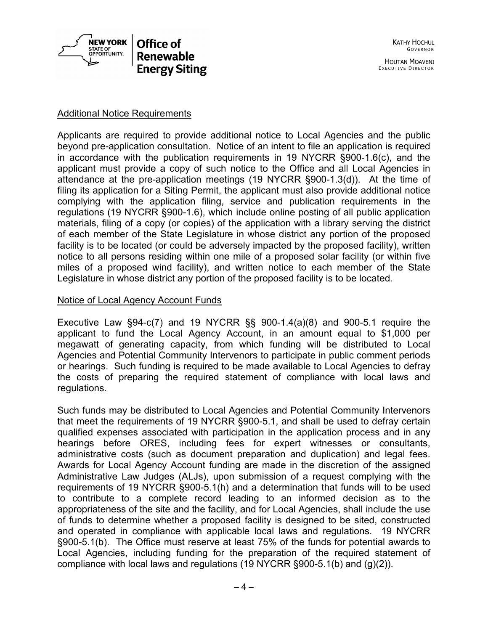

### Additional Notice Requirements

Applicants are required to provide additional notice to Local Agencies and the public beyond pre-application consultation. Notice of an intent to file an application is required in accordance with the publication requirements in 19 NYCRR §900-1.6(c), and the applicant must provide a copy of such notice to the Office and all Local Agencies in attendance at the pre-application meetings (19 NYCRR §900-1.3(d)). At the time of filing its application for a Siting Permit, the applicant must also provide additional notice complying with the application filing, service and publication requirements in the regulations (19 NYCRR §900-1.6), which include online posting of all public application materials, filing of a copy (or copies) of the application with a library serving the district of each member of the State Legislature in whose district any portion of the proposed facility is to be located (or could be adversely impacted by the proposed facility), written notice to all persons residing within one mile of a proposed solar facility (or within five miles of a proposed wind facility), and written notice to each member of the State Legislature in whose district any portion of the proposed facility is to be located.

#### Notice of Local Agency Account Funds

Executive Law §94-c(7) and 19 NYCRR §§ 900-1.4(a)(8) and 900-5.1 require the applicant to fund the Local Agency Account, in an amount equal to \$1,000 per megawatt of generating capacity, from which funding will be distributed to Local Agencies and Potential Community Intervenors to participate in public comment periods or hearings. Such funding is required to be made available to Local Agencies to defray the costs of preparing the required statement of compliance with local laws and regulations.

Such funds may be distributed to Local Agencies and Potential Community Intervenors that meet the requirements of 19 NYCRR §900-5.1, and shall be used to defray certain qualified expenses associated with participation in the application process and in any hearings before ORES, including fees for expert witnesses or consultants, administrative costs (such as document preparation and duplication) and legal fees. Awards for Local Agency Account funding are made in the discretion of the assigned Administrative Law Judges (ALJs), upon submission of a request complying with the requirements of 19 NYCRR §900-5.1(h) and a determination that funds will to be used to contribute to a complete record leading to an informed decision as to the appropriateness of the site and the facility, and for Local Agencies, shall include the use of funds to determine whether a proposed facility is designed to be sited, constructed and operated in compliance with applicable local laws and regulations. 19 NYCRR §900-5.1(b). The Office must reserve at least 75% of the funds for potential awards to Local Agencies, including funding for the preparation of the required statement of compliance with local laws and regulations (19 NYCRR  $\S 900-5.1(b)$  and  $(g)(2)$ ).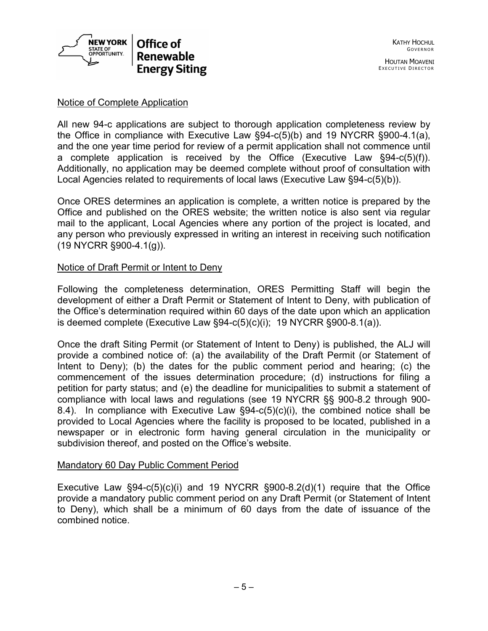

## Notice of Complete Application

All new 94-c applications are subject to thorough application completeness review by the Office in compliance with Executive Law §94-c(5)(b) and 19 NYCRR §900-4.1(a), and the one year time period for review of a permit application shall not commence until a complete application is received by the Office (Executive Law §94-c(5)(f)). Additionally, no application may be deemed complete without proof of consultation with Local Agencies related to requirements of local laws (Executive Law §94-c(5)(b)).

Once ORES determines an application is complete, a written notice is prepared by the Office and published on the ORES website; the written notice is also sent via regular mail to the applicant, Local Agencies where any portion of the project is located, and any person who previously expressed in writing an interest in receiving such notification (19 NYCRR §900-4.1(g)).

### Notice of Draft Permit or Intent to Deny

Following the completeness determination, ORES Permitting Staff will begin the development of either a Draft Permit or Statement of Intent to Deny, with publication of the Office's determination required within 60 days of the date upon which an application is deemed complete (Executive Law  $\S 94-c(5)(c)(i)$ ; 19 NYCRR  $\S 900-8.1(a)$ ).

Once the draft Siting Permit (or Statement of Intent to Deny) is published, the ALJ will provide a combined notice of: (a) the availability of the Draft Permit (or Statement of Intent to Deny); (b) the dates for the public comment period and hearing; (c) the commencement of the issues determination procedure; (d) instructions for filing a petition for party status; and (e) the deadline for municipalities to submit a statement of compliance with local laws and regulations (see 19 NYCRR §§ 900-8.2 through 900- 8.4). In compliance with Executive Law  $\S 94-c(5)(c)(i)$ , the combined notice shall be provided to Local Agencies where the facility is proposed to be located, published in a newspaper or in electronic form having general circulation in the municipality or subdivision thereof, and posted on the Office's website.

### Mandatory 60 Day Public Comment Period

Executive Law  $\S 94 - c(5)(c)(i)$  and 19 NYCRR  $\S 900 - 8.2(d)(1)$  require that the Office provide a mandatory public comment period on any Draft Permit (or Statement of Intent to Deny), which shall be a minimum of 60 days from the date of issuance of the combined notice.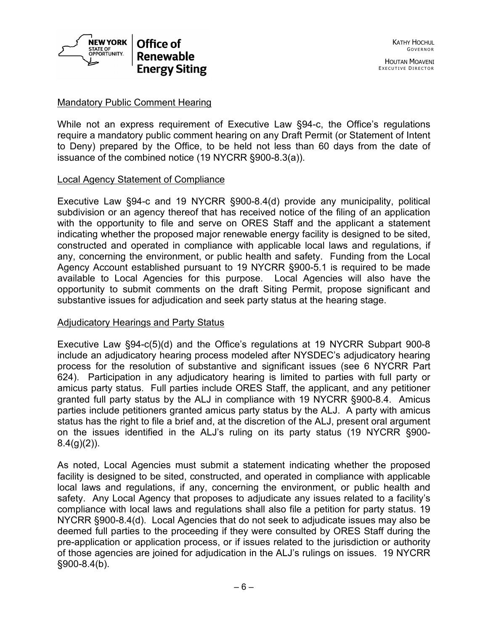

### Mandatory Public Comment Hearing

While not an express requirement of Executive Law §94-c, the Office's regulations require a mandatory public comment hearing on any Draft Permit (or Statement of Intent to Deny) prepared by the Office, to be held not less than 60 days from the date of issuance of the combined notice (19 NYCRR §900-8.3(a)).

### Local Agency Statement of Compliance

Executive Law §94-c and 19 NYCRR §900-8.4(d) provide any municipality, political subdivision or an agency thereof that has received notice of the filing of an application with the opportunity to file and serve on ORES Staff and the applicant a statement indicating whether the proposed major renewable energy facility is designed to be sited, constructed and operated in compliance with applicable local laws and regulations, if any, concerning the environment, or public health and safety. Funding from the Local Agency Account established pursuant to 19 NYCRR §900-5.1 is required to be made available to Local Agencies for this purpose. Local Agencies will also have the opportunity to submit comments on the draft Siting Permit, propose significant and substantive issues for adjudication and seek party status at the hearing stage.

### Adjudicatory Hearings and Party Status

Executive Law §94-c(5)(d) and the Office's regulations at 19 NYCRR Subpart 900-8 include an adjudicatory hearing process modeled after NYSDEC's adjudicatory hearing process for the resolution of substantive and significant issues (see 6 NYCRR Part 624). Participation in any adjudicatory hearing is limited to parties with full party or amicus party status. Full parties include ORES Staff, the applicant, and any petitioner granted full party status by the ALJ in compliance with 19 NYCRR §900-8.4. Amicus parties include petitioners granted amicus party status by the ALJ. A party with amicus status has the right to file a brief and, at the discretion of the ALJ, present oral argument on the issues identified in the ALJ's ruling on its party status (19 NYCRR §900-  $8.4(g)(2)$ ).

As noted, Local Agencies must submit a statement indicating whether the proposed facility is designed to be sited, constructed, and operated in compliance with applicable local laws and regulations, if any, concerning the environment, or public health and safety. Any Local Agency that proposes to adjudicate any issues related to a facility's compliance with local laws and regulations shall also file a petition for party status. 19 NYCRR §900-8.4(d). Local Agencies that do not seek to adjudicate issues may also be deemed full parties to the proceeding if they were consulted by ORES Staff during the pre-application or application process, or if issues related to the jurisdiction or authority of those agencies are joined for adjudication in the ALJ's rulings on issues. 19 NYCRR §900-8.4(b).